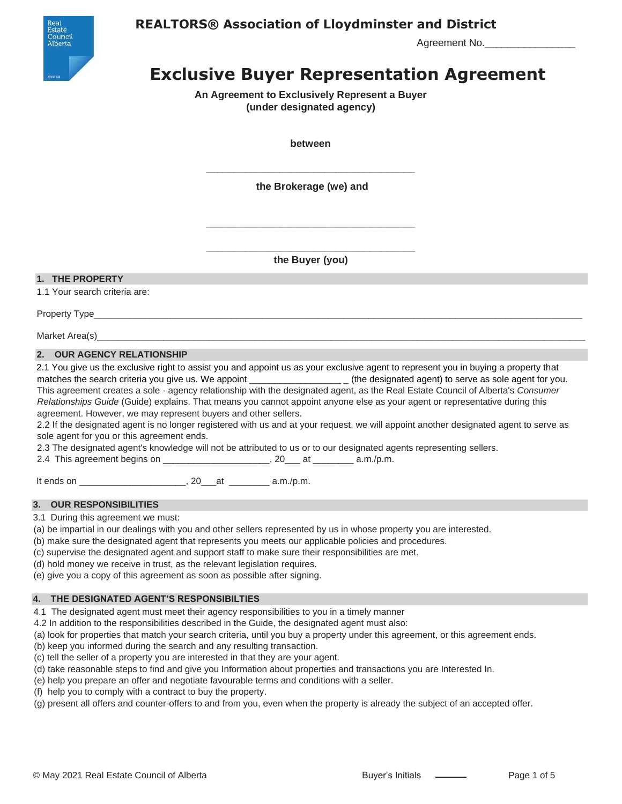

## **REALTORS® Association of Lloydminster and District**

Agreement No.

# **Exclusive Buyer Representation Agreement**

**An Agreement to Exclusively Represent a Buyer (under designated agency)**

**between**

**\_\_\_\_\_\_\_\_\_\_\_\_\_\_\_\_\_\_\_\_\_\_\_\_\_\_\_\_\_\_\_\_\_\_\_\_\_ the Brokerage (we) and**

**\_\_\_\_\_\_\_\_\_\_\_\_\_\_\_\_\_\_\_\_\_\_\_\_\_\_\_\_\_\_\_\_\_\_\_\_\_ the Buyer (you)**

**\_\_\_\_\_\_\_\_\_\_\_\_\_\_\_\_\_\_\_\_\_\_\_\_\_\_\_\_\_\_\_\_\_\_\_\_\_**

#### **1. THE PROPERTY**

1.1 Your search criteria are:

Property Type\_\_\_\_\_\_\_\_\_\_\_\_\_\_\_\_\_\_\_\_\_\_\_\_\_\_\_\_\_\_\_\_\_\_\_\_\_\_\_\_\_\_\_\_\_\_\_\_\_\_\_\_\_\_\_\_\_\_\_\_\_\_\_\_\_\_\_\_\_\_\_\_\_\_\_\_\_\_\_\_\_\_\_\_\_\_\_\_\_\_\_\_\_\_\_\_

Market Area(s)

#### **2. OUR AGENCY RELATIONSHIP**

2.1 You give us the exclusive right to assist you and appoint us as your exclusive agent to represent you in buying a property that matches the search criteria you give us. We appoint \_\_\_\_\_\_\_\_\_\_\_\_\_\_\_\_\_\_\_\_\_\_\_\_ (the designated agent) to serve as sole agent for you. This agreement creates a sole - agency relationship with the designated agent, as the Real Estate Council of Alberta's *Consumer Relationships Guide* (Guide) explains. That means you cannot appoint anyone else as your agent or representative during this agreement. However, we may represent buyers and other sellers.

2.2 If the designated agent is no longer registered with us and at your request, we will appoint another designated agent to serve as sole agent for you or this agreement ends.

2.3 The designated agent's knowledge will not be attributed to us or to our designated agents representing sellers.

2.4 This agreement begins on \_\_\_\_\_\_\_\_\_\_\_\_\_\_\_\_\_\_\_\_\_\_\_, 20\_\_\_ at \_\_\_\_\_\_\_\_\_ a.m./p.m.

It ends on \_\_\_\_\_\_\_\_\_\_\_\_\_\_\_\_\_\_\_\_\_, 20\_\_\_at \_\_\_\_\_\_\_\_ a.m./p.m.

#### **3. OUR RESPONSIBILITIES**

3.1 During this agreement we must:

(a) be impartial in our dealings with you and other sellers represented by us in whose property you are interested.

- (b) make sure the designated agent that represents you meets our applicable policies and procedures.
- (c) supervise the designated agent and support staff to make sure their responsibilities are met.

(d) hold money we receive in trust, as the relevant legislation requires.

(e) give you a copy of this agreement as soon as possible after signing.

#### **4. THE DESIGNATED AGENT'S RESPONSIBILTIES**

4.1 The designated agent must meet their agency responsibilities to you in a timely manner

4.2 In addition to the responsibilities described in the Guide, the designated agent must also:

(a) look for properties that match your search criteria, until you buy a property under this agreement, or this agreement ends.

(b) keep you informed during the search and any resulting transaction.

(c) tell the seller of a property you are interested in that they are your agent.

- (d) take reasonable steps to find and give you Information about properties and transactions you are Interested In.
- (e) help you prepare an offer and negotiate favourable terms and conditions with a seller.
- (f) help you to comply with a contract to buy the property.

(g) present all offers and counter-offers to and from you, even when the property is already the subject of an accepted offer.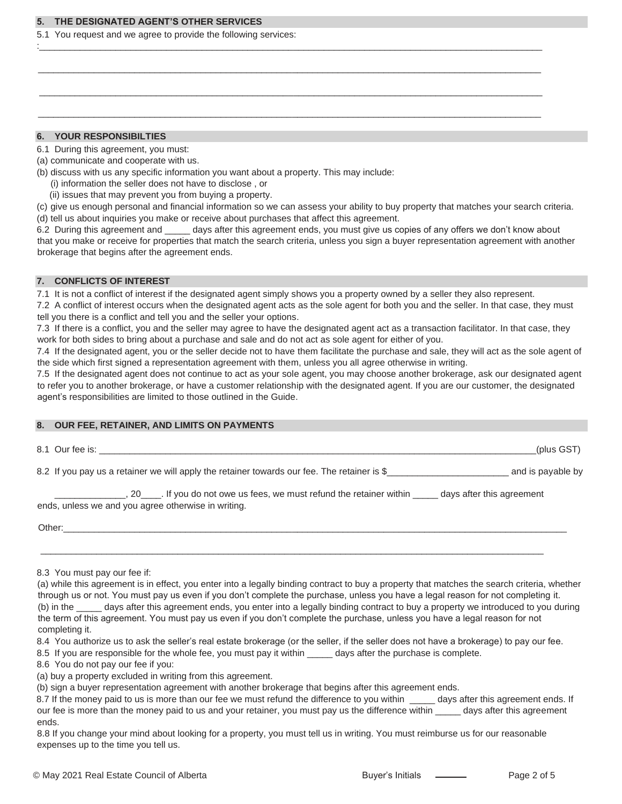#### **5. THE DESIGNATED AGENT'S OTHER SERVICES**

5.1 You request and we agree to provide the following services:

#### **6. YOUR RESPONSIBILTIES**

- 6.1 During this agreement, you must:
- (a) communicate and cooperate with us.
- (b) discuss with us any specific information you want about a property. This may include:
- (i) information the seller does not have to disclose , or
	- (ii) issues that may prevent you from buying a property.
- (c) give us enough personal and financial information so we can assess your ability to buy property that matches your search criteria. (d) tell us about inquiries you make or receive about purchases that affect this agreement.

:\_\_\_\_\_\_\_\_\_\_\_\_\_\_\_\_\_\_\_\_\_\_\_\_\_\_\_\_\_\_\_\_\_\_\_\_\_\_\_\_\_\_\_\_\_\_\_\_\_\_\_\_\_\_\_\_\_\_\_\_\_\_\_\_\_\_\_\_\_\_\_\_\_\_\_\_\_\_\_\_\_\_\_\_\_\_\_\_\_\_\_\_\_\_\_\_\_\_\_

\_\_\_\_\_\_\_\_\_\_\_\_\_\_\_\_\_\_\_\_\_\_\_\_\_\_\_\_\_\_\_\_\_\_\_\_\_\_\_\_\_\_\_\_\_\_\_\_\_\_\_\_\_\_\_\_\_\_\_\_\_\_\_\_\_\_\_\_\_\_\_\_\_\_\_\_\_\_\_\_\_\_\_\_\_\_\_\_\_\_\_\_\_\_\_\_\_\_\_

 $\_$  , and the set of the set of the set of the set of the set of the set of the set of the set of the set of the set of the set of the set of the set of the set of the set of the set of the set of the set of the set of th

\_\_\_\_\_\_\_\_\_\_\_\_\_\_\_\_\_\_\_\_\_\_\_\_\_\_\_\_\_\_\_\_\_\_\_\_\_\_\_\_\_\_\_\_\_\_\_\_\_\_\_\_\_\_\_\_\_\_\_\_\_\_\_\_\_\_\_\_\_\_\_\_\_\_\_\_\_\_\_\_\_\_\_\_\_\_\_\_\_\_\_\_\_\_\_\_\_\_\_

6.2 During this agreement and \_\_\_\_\_ days after this agreement ends, you must give us copies of any offers we don't know about that you make or receive for properties that match the search criteria, unless you sign a buyer representation agreement with another brokerage that begins after the agreement ends.

#### **7. CONFLICTS OF INTEREST**

7.1 It is not a conflict of interest if the designated agent simply shows you a property owned by a seller they also represent.

7.2 A conflict of interest occurs when the designated agent acts as the sole agent for both you and the seller. In that case, they must tell you there is a conflict and tell you and the seller your options.

7.3 If there is a conflict, you and the seller may agree to have the designated agent act as a transaction facilitator. In that case, they work for both sides to bring about a purchase and sale and do not act as sole agent for either of you.

7.4 If the designated agent, you or the seller decide not to have them facilitate the purchase and sale, they will act as the sole agent of the side which first signed a representation agreement with them, unless you all agree otherwise in writing.

7.5 If the designated agent does not continue to act as your sole agent, you may choose another brokerage, ask our designated agent to refer you to another brokerage, or have a customer relationship with the designated agent. If you are our customer, the designated agent's responsibilities are limited to those outlined in the Guide.

#### **8. OUR FEE, RETAINER, AND LIMITS ON PAYMENTS**

8.1 Our fee is: \_\_\_\_\_\_\_\_\_\_\_\_\_\_\_\_\_\_\_\_\_\_\_\_\_\_\_\_\_\_\_\_\_\_\_\_\_\_\_\_\_\_\_\_\_\_\_\_\_\_\_\_\_\_\_\_\_\_\_\_\_\_\_\_\_\_\_\_\_\_\_\_\_\_\_\_\_\_\_\_\_\_\_\_\_\_(plus GST)

8.2 If you pay us a retainer we will apply the retainer towards our fee. The retainer is \$\_\_\_\_\_\_\_\_\_\_\_\_\_\_\_\_\_\_\_\_\_\_\_\_ and is payable by

\_, 20\_\_\_\_\_. If you do not owe us fees, we must refund the retainer within \_\_\_\_\_ days after this agreement ends, unless we and you agree otherwise in writing.

 $\frac{1}{2}$  ,  $\frac{1}{2}$  ,  $\frac{1}{2}$  ,  $\frac{1}{2}$  ,  $\frac{1}{2}$  ,  $\frac{1}{2}$  ,  $\frac{1}{2}$  ,  $\frac{1}{2}$  ,  $\frac{1}{2}$  ,  $\frac{1}{2}$  ,  $\frac{1}{2}$  ,  $\frac{1}{2}$  ,  $\frac{1}{2}$  ,  $\frac{1}{2}$  ,  $\frac{1}{2}$  ,  $\frac{1}{2}$  ,  $\frac{1}{2}$  ,  $\frac{1}{2}$  ,  $\frac{1$ 

 $Other:$   $Other:$   $\_$ 

(a) while this agreement is in effect, you enter into a legally binding contract to buy a property that matches the search criteria, whether through us or not. You must pay us even if you don't complete the purchase, unless you have a legal reason for not completing it. (b) in the \_\_\_\_\_ days after this agreement ends, you enter into a legally binding contract to buy a property we introduced to you during the term of this agreement. You must pay us even if you don't complete the purchase, unless you have a legal reason for not completing it.

8.4 You authorize us to ask the seller's real estate brokerage (or the seller, if the seller does not have a brokerage) to pay our fee.

8.5 If you are responsible for the whole fee, you must pay it within \_\_\_\_\_ days after the purchase is complete.

- 8.6 You do not pay our fee if you:
- (a) buy a property excluded in writing from this agreement.

(b) sign a buyer representation agreement with another brokerage that begins after this agreement ends.

8.8 If you change your mind about looking for a property, you must tell us in writing. You must reimburse us for our reasonable expenses up to the time you tell us.

<sup>8.3</sup> You must pay our fee if:

<sup>8.7</sup> If the money paid to us is more than our fee we must refund the difference to you within \_\_\_\_\_ days after this agreement ends. If our fee is more than the money paid to us and your retainer, you must pay us the difference within \_\_\_\_\_ days after this agreement ends.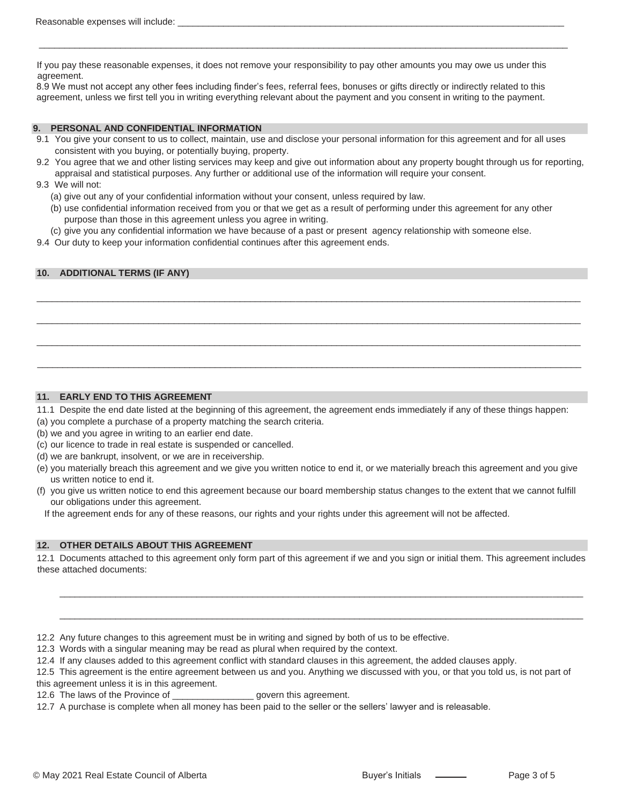If you pay these reasonable expenses, it does not remove your responsibility to pay other amounts you may owe us under this agreement.

\_\_\_\_\_\_\_\_\_\_\_\_\_\_\_\_\_\_\_\_\_\_\_\_\_\_\_\_\_\_\_\_\_\_\_\_\_\_\_\_\_\_\_\_\_\_\_\_\_\_\_\_\_\_\_\_\_\_\_\_\_\_\_\_\_\_\_\_\_\_\_\_\_\_\_\_\_\_\_\_\_\_\_\_\_\_\_\_\_\_\_\_\_\_\_\_\_\_\_\_\_\_\_\_

8.9 We must not accept any other fees including finder's fees, referral fees, bonuses or gifts directly or indirectly related to this agreement, unless we first tell you in writing everything relevant about the payment and you consent in writing to the payment.

#### **9. PERSONAL AND CONFIDENTIAL INFORMATION**

- 9.1 You give your consent to us to collect, maintain, use and disclose your personal information for this agreement and for all uses consistent with you buying, or potentially buying, property.
- 9.2 You agree that we and other listing services may keep and give out information about any property bought through us for reporting, appraisal and statistical purposes. Any further or additional use of the information will require your consent.
- 9.3 We will not:
	- (a) give out any of your confidential information without your consent, unless required by law.
	- (b) use confidential information received from you or that we get as a result of performing under this agreement for any other purpose than those in this agreement unless you agree in writing.

\_\_\_\_\_\_\_\_\_\_\_\_\_\_\_\_\_\_\_\_\_\_\_\_\_\_\_\_\_\_\_\_\_\_\_\_\_\_\_\_\_\_\_\_\_\_\_\_\_\_\_\_\_\_\_\_\_\_\_\_\_\_\_\_\_\_\_\_\_\_\_\_\_\_\_\_\_\_\_\_\_\_\_\_\_\_\_\_\_\_\_\_\_\_\_\_\_\_\_\_\_\_\_\_\_\_\_

\_\_\_\_\_\_\_\_\_\_\_\_\_\_\_\_\_\_\_\_\_\_\_\_\_\_\_\_\_\_\_\_\_\_\_\_\_\_\_\_\_\_\_\_\_\_\_\_\_\_\_\_\_\_\_\_\_\_\_\_\_\_\_\_\_\_\_\_\_\_\_\_\_\_\_\_\_\_\_\_\_\_\_\_\_\_\_\_\_\_\_\_\_\_\_\_\_\_\_\_\_\_\_\_\_\_\_

\_\_\_\_\_\_\_\_\_\_\_\_\_\_\_\_\_\_\_\_\_\_\_\_\_\_\_\_\_\_\_\_\_\_\_\_\_\_\_\_\_\_\_\_\_\_\_\_\_\_\_\_\_\_\_\_\_\_\_\_\_\_\_\_\_\_\_\_\_\_\_\_\_\_\_\_\_\_\_\_\_\_\_\_\_\_\_\_\_\_\_\_\_\_\_\_\_\_\_\_\_\_\_\_\_\_\_

\_\_\_\_\_\_\_\_\_\_\_\_\_\_\_\_\_\_\_\_\_\_\_\_\_\_\_\_\_\_\_\_\_\_\_\_\_\_\_\_\_\_\_\_\_\_\_\_\_\_\_\_\_\_\_\_\_\_\_\_\_\_\_\_\_\_\_\_\_\_\_\_\_\_\_\_\_\_\_\_\_\_\_\_\_\_\_\_\_\_\_\_\_\_\_\_\_\_\_\_\_\_\_\_\_\_\_

- (c) give you any confidential information we have because of a past or present agency relationship with someone else.
- 9.4 Our duty to keep your information confidential continues after this agreement ends.

#### **10. ADDITIONAL TERMS (IF ANY)**

#### **11. EARLY END TO THIS AGREEMENT**

- 11.1 Despite the end date listed at the beginning of this agreement, the agreement ends immediately if any of these things happen:
- (a) you complete a purchase of a property matching the search criteria.
- (b) we and you agree in writing to an earlier end date.
- (c) our licence to trade in real estate is suspended or cancelled.
- (d) we are bankrupt, insolvent, or we are in receivership.
- (e) you materially breach this agreement and we give you written notice to end it, or we materially breach this agreement and you give us written notice to end it.
- (f) you give us written notice to end this agreement because our board membership status changes to the extent that we cannot fulfill our obligations under this agreement.
- If the agreement ends for any of these reasons, our rights and your rights under this agreement will not be affected.

#### **12. OTHER DETAILS ABOUT THIS AGREEMENT**

12.1 Documents attached to this agreement only form part of this agreement if we and you sign or initial them. This agreement includes these attached documents:

 $\mathcal{L}_\text{max}$  , and the set of the set of the set of the set of the set of the set of the set of the set of the set of the set of the set of the set of the set of the set of the set of the set of the set of the set of the

 $\mathcal{L}_\text{max}$  , and the set of the set of the set of the set of the set of the set of the set of the set of the set of the set of the set of the set of the set of the set of the set of the set of the set of the set of the

12.2 Any future changes to this agreement must be in writing and signed by both of us to be effective.

12.3 Words with a singular meaning may be read as plural when required by the context.

12.4 If any clauses added to this agreement conflict with standard clauses in this agreement, the added clauses apply.

12.5 This agreement is the entire agreement between us and you. Anything we discussed with you, or that you told us, is not part of this agreement unless it is in this agreement.

12.6 The laws of the Province of \_\_\_\_\_\_\_\_\_\_\_\_\_\_\_\_ govern this agreement.

12.7 A purchase is complete when all money has been paid to the seller or the sellers' lawyer and is releasable.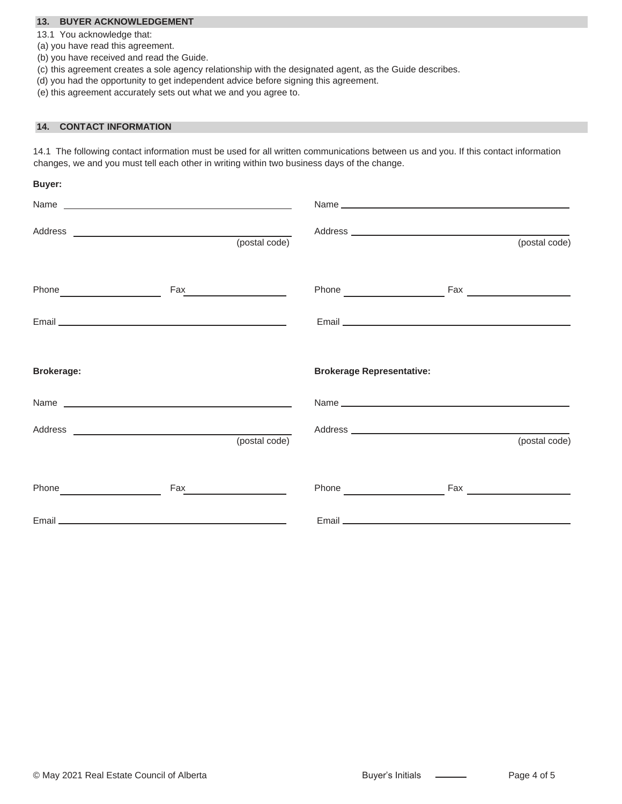#### **13. BUYER ACKNOWLEDGEMENT**

13.1 You acknowledge that:

- (a) you have read this agreement.
- (b) you have received and read the Guide.
- (c) this agreement creates a sole agency relationship with the designated agent, as the Guide describes.
- (d) you had the opportunity to get independent advice before signing this agreement.
- (e) this agreement accurately sets out what we and you agree to.

#### **14. CONTACT INFORMATION**

14.1 The following contact information must be used for all written communications between us and you. If this contact information changes, we and you must tell each other in writing within two business days of the change.

| Buyer:            |                               |                                  |                                                                                                                                                                                                                                |               |
|-------------------|-------------------------------|----------------------------------|--------------------------------------------------------------------------------------------------------------------------------------------------------------------------------------------------------------------------------|---------------|
|                   |                               |                                  |                                                                                                                                                                                                                                |               |
|                   |                               |                                  |                                                                                                                                                                                                                                | (postal code) |
|                   | Fax__________________________ |                                  |                                                                                                                                                                                                                                |               |
|                   |                               |                                  |                                                                                                                                                                                                                                |               |
| <b>Brokerage:</b> |                               | <b>Brokerage Representative:</b> |                                                                                                                                                                                                                                |               |
|                   |                               |                                  |                                                                                                                                                                                                                                |               |
|                   | (postal code)                 |                                  |                                                                                                                                                                                                                                | (postal code) |
|                   | Fax <b>Frame Community</b>    |                                  | Phone Fax Fax Phone Phone Phone Phone Phone Phone Phone Phone Phone Phone Phone Phone Phone Phone Phone Phone Phone Phone Phone Phone Phone Phone Phone Phone Phone Phone Phone Phone Phone Phone Phone Phone Phone Phone Phon |               |
|                   |                               |                                  | Email <b>Email Example 2008</b>                                                                                                                                                                                                |               |